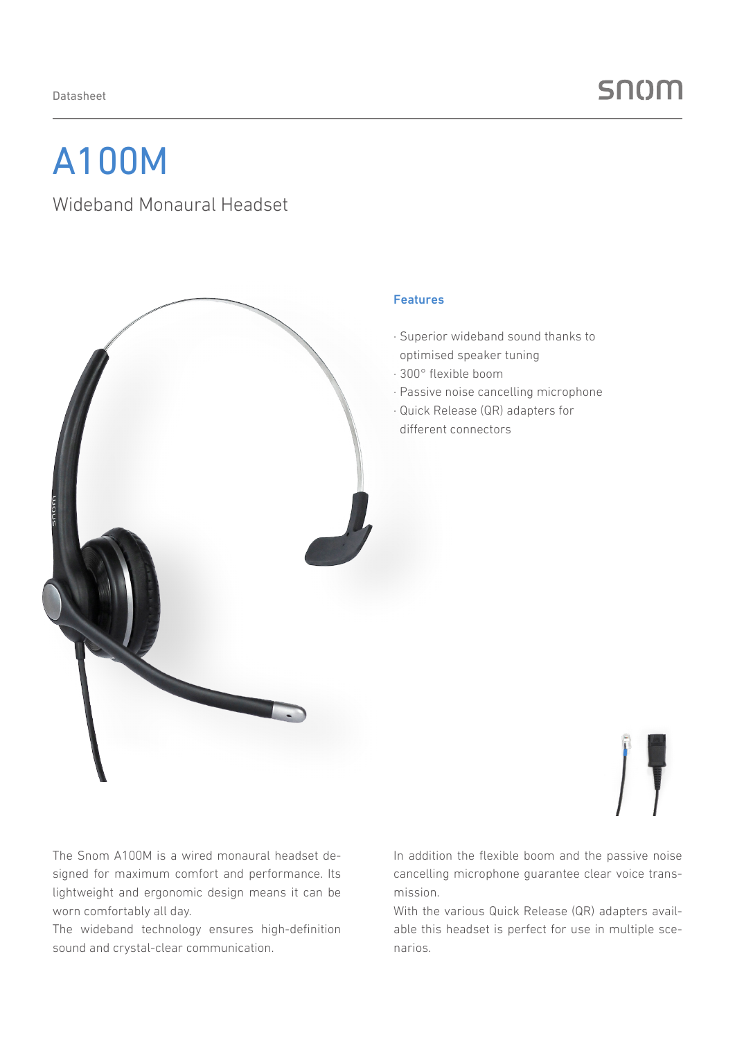## A100M

### Wideband Monaural Headset



### Features

- · Superior wideband sound thanks to optimised speaker tuning
- · 300° flexible boom
- · Passive noise cancelling microphone
- · Quick Release (QR) adapters for different connectors



The Snom A100M is a wired monaural headset designed for maximum comfort and performance. Its lightweight and ergonomic design means it can be worn comfortably all day.

The wideband technology ensures high-definition sound and crystal-clear communication.

In addition the flexible boom and the passive noise cancelling microphone guarantee clear voice transmission.

With the various Quick Release (QR) adapters available this headset is perfect for use in multiple scenarios.